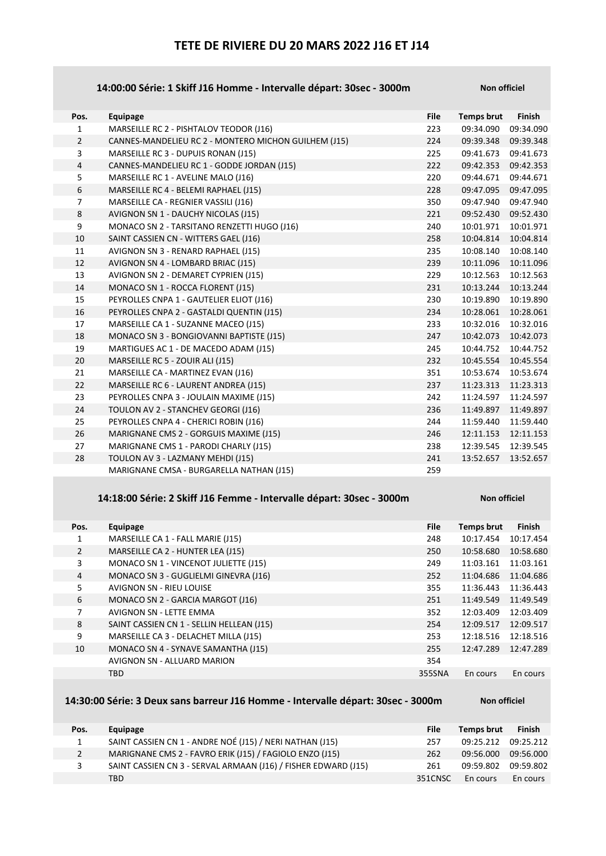## TETE DE RIVIERE DU 20 MARS 2022 J16 ET J14

### 14:00:00 Série: 1 Skiff J16 Homme - Intervalle départ: 30sec - 3000m Non officiel

| Pos.           | Equipage                                             | <b>File</b> | <b>Temps brut</b> | <b>Finish</b> |
|----------------|------------------------------------------------------|-------------|-------------------|---------------|
| $\mathbf{1}$   | MARSEILLE RC 2 - PISHTALOV TEODOR (J16)              | 223         | 09:34.090         | 09:34.090     |
| $\overline{2}$ | CANNES-MANDELIEU RC 2 - MONTERO MICHON GUILHEM (J15) | 224         | 09:39.348         | 09:39.348     |
| 3              | MARSEILLE RC 3 - DUPUIS RONAN (J15)                  | 225         | 09:41.673         | 09:41.673     |
| $\overline{4}$ | CANNES-MANDELIEU RC 1 - GODDE JORDAN (J15)           | 222         | 09:42.353         | 09:42.353     |
| 5              | MARSEILLE RC 1 - AVELINE MALO (J16)                  | 220         | 09:44.671         | 09:44.671     |
| 6              | MARSEILLE RC 4 - BELEMI RAPHAEL (J15)                | 228         | 09:47.095         | 09:47.095     |
| $\overline{7}$ | MARSEILLE CA - REGNIER VASSILI (J16)                 | 350         | 09:47.940         | 09:47.940     |
| 8              | AVIGNON SN 1 - DAUCHY NICOLAS (J15)                  | 221         | 09:52.430         | 09:52.430     |
| 9              | MONACO SN 2 - TARSITANO RENZETTI HUGO (J16)          | 240         | 10:01.971         | 10:01.971     |
| 10             | SAINT CASSIEN CN - WITTERS GAEL (J16)                | 258         | 10:04.814         | 10:04.814     |
| 11             | AVIGNON SN 3 - RENARD RAPHAEL (J15)                  | 235         | 10:08.140         | 10:08.140     |
| 12             | AVIGNON SN 4 - LOMBARD BRIAC (J15)                   | 239         | 10:11.096         | 10:11.096     |
| 13             | AVIGNON SN 2 - DEMARET CYPRIEN (J15)                 | 229         | 10:12.563         | 10:12.563     |
| 14             | MONACO SN 1 - ROCCA FLORENT (J15)                    | 231         | 10:13.244         | 10:13.244     |
| 15             | PEYROLLES CNPA 1 - GAUTELIER ELIOT (J16)             | 230         | 10:19.890         | 10:19.890     |
| 16             | PEYROLLES CNPA 2 - GASTALDI QUENTIN (J15)            | 234         | 10:28.061         | 10:28.061     |
| 17             | MARSEILLE CA 1 - SUZANNE MACEO (J15)                 | 233         | 10:32.016         | 10:32.016     |
| 18             | MONACO SN 3 - BONGIOVANNI BAPTISTE (J15)             | 247         | 10:42.073         | 10:42.073     |
| 19             | MARTIGUES AC 1 - DE MACEDO ADAM (J15)                | 245         | 10:44.752         | 10:44.752     |
| 20             | MARSEILLE RC 5 - ZOUIR ALI (J15)                     | 232         | 10:45.554         | 10:45.554     |
| 21             | MARSEILLE CA - MARTINEZ EVAN (J16)                   | 351         | 10:53.674         | 10:53.674     |
| 22             | MARSEILLE RC 6 - LAURENT ANDREA (J15)                | 237         | 11:23.313         | 11:23.313     |
| 23             | PEYROLLES CNPA 3 - JOULAIN MAXIME (J15)              | 242         | 11:24.597         | 11:24.597     |
| 24             | TOULON AV 2 - STANCHEV GEORGI (J16)                  | 236         | 11:49.897         | 11:49.897     |
| 25             | PEYROLLES CNPA 4 - CHERICI ROBIN (J16)               | 244         | 11:59.440         | 11:59.440     |
| 26             | MARIGNANE CMS 2 - GORGUIS MAXIME (J15)               | 246         | 12:11.153         | 12:11.153     |
| 27             | MARIGNANE CMS 1 - PARODI CHARLY (J15)                | 238         | 12:39.545         | 12:39.545     |
| 28             | TOULON AV 3 - LAZMANY MEHDI (J15)                    | 241         | 13:52.657         | 13:52.657     |
|                | MARIGNANE CMSA - BURGARELLA NATHAN (J15)             | 259         |                   |               |

### 14:18:00 Série: 2 Skiff J16 Femme - Intervalle départ: 30sec - 3000m Non officiel

| Pos.           | Equipage                                  | <b>File</b> | <b>Temps brut</b> | <b>Finish</b> |
|----------------|-------------------------------------------|-------------|-------------------|---------------|
| 1              | MARSEILLE CA 1 - FALL MARIE (J15)         | 248         | 10:17.454         | 10:17.454     |
| $\overline{2}$ | MARSEILLE CA 2 - HUNTER LEA (J15)         | 250         | 10:58.680         | 10:58.680     |
| 3              | MONACO SN 1 - VINCENOT JULIETTE (J15)     | 249         | 11:03.161         | 11:03.161     |
| $\overline{4}$ | MONACO SN 3 - GUGLIELMI GINEVRA (J16)     | 252         | 11:04.686         | 11:04.686     |
| 5              | <b>AVIGNON SN - RIEU LOUISE</b>           | 355         | 11:36.443         | 11:36.443     |
| 6              | MONACO SN 2 - GARCIA MARGOT (J16)         | 251         | 11:49.549         | 11:49.549     |
| 7              | <b>AVIGNON SN - LETTE EMMA</b>            | 352         | 12:03.409         | 12:03.409     |
| 8              | SAINT CASSIEN CN 1 - SELLIN HELLEAN (J15) | 254         | 12:09.517         | 12:09.517     |
| 9              | MARSEILLE CA 3 - DELACHET MILLA (J15)     | 253         | 12:18.516         | 12:18.516     |
| 10             | MONACO SN 4 - SYNAVE SAMANTHA (J15)       | 255         | 12:47.289         | 12:47.289     |
|                | AVIGNON SN - ALLUARD MARION               | 354         |                   |               |
|                | <b>TBD</b>                                | 355SNA      | En cours          | En cours      |

### 14:30:00 Série: 3 Deux sans barreur J16 Homme - Intervalle départ: 30sec - 3000m

| <b>Non officiel</b> |
|---------------------|

| Pos.           | Equipage                                                       | File    | <b>Temps brut</b> | Finish    |
|----------------|----------------------------------------------------------------|---------|-------------------|-----------|
| 1              | SAINT CASSIEN CN 1 - ANDRE NOÉ (J15) / NERI NATHAN (J15)       | 257     | 09:25.212         | 09:25.212 |
| $\overline{2}$ | MARIGNANE CMS 2 - FAVRO ERIK (J15) / FAGIOLO ENZO (J15)        | 262     | 09:56.000         | 09:56.000 |
| 3              | SAINT CASSIEN CN 3 - SERVAL ARMAAN (J16) / FISHER EDWARD (J15) | 261     | 09:59.802         | 09:59.802 |
|                | TBD.                                                           | 351CNSC | En cours          | En cours  |